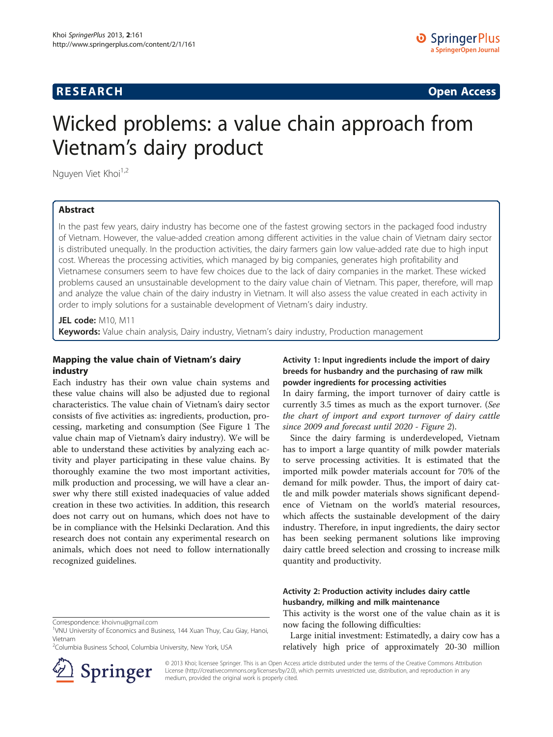# **RESEARCH RESEARCH CONSUMING ACCESS**

# Wicked problems: a value chain approach from Vietnam's dairy product

Nguyen Viet Khoi<sup>1,2</sup>

# Abstract

In the past few years, dairy industry has become one of the fastest growing sectors in the packaged food industry of Vietnam. However, the value-added creation among different activities in the value chain of Vietnam dairy sector is distributed unequally. In the production activities, the dairy farmers gain low value-added rate due to high input cost. Whereas the processing activities, which managed by big companies, generates high profitability and Vietnamese consumers seem to have few choices due to the lack of dairy companies in the market. These wicked problems caused an unsustainable development to the dairy value chain of Vietnam. This paper, therefore, will map and analyze the value chain of the dairy industry in Vietnam. It will also assess the value created in each activity in order to imply solutions for a sustainable development of Vietnam's dairy industry.

JEL code: M10, M11 Keywords: Value chain analysis, Dairy industry, Vietnam's dairy industry, Production management

## Mapping the value chain of Vietnam's dairy industry

Each industry has their own value chain systems and these value chains will also be adjusted due to regional characteristics. The value chain of Vietnam's dairy sector consists of five activities as: ingredients, production, processing, marketing and consumption (See Figure [1](#page-1-0) The value chain map of Vietnam's dairy industry). We will be able to understand these activities by analyzing each activity and player participating in these value chains. By thoroughly examine the two most important activities, milk production and processing, we will have a clear answer why there still existed inadequacies of value added creation in these two activities. In addition, this research does not carry out on humans, which does not have to be in compliance with the Helsinki Declaration. And this research does not contain any experimental research on animals, which does not need to follow internationally recognized guidelines.

2 Columbia Business School, Columbia University, New York, USA



# Activity 1: Input ingredients include the import of dairy breeds for husbandry and the purchasing of raw milk powder ingredients for processing activities

In dairy farming, the import turnover of dairy cattle is currently 3.5 times as much as the export turnover. (See the chart of import and export turnover of dairy cattle since 2009 and forecast until 2020 - Figure [2](#page-1-0)).

Since the dairy farming is underdeveloped, Vietnam has to import a large quantity of milk powder materials to serve processing activities. It is estimated that the imported milk powder materials account for 70% of the demand for milk powder. Thus, the import of dairy cattle and milk powder materials shows significant dependence of Vietnam on the world's material resources, which affects the sustainable development of the dairy industry. Therefore, in input ingredients, the dairy sector has been seeking permanent solutions like improving dairy cattle breed selection and crossing to increase milk quantity and productivity.

# Activity 2: Production activity includes dairy cattle husbandry, milking and milk maintenance

This activity is the worst one of the value chain as it is now facing the following difficulties:

Large initial investment: Estimatedly, a dairy cow has a relatively high price of approximately 20-30 million

© 2013 Khoi; licensee Springer. This is an Open Access article distributed under the terms of the Creative Commons Attribution License [\(http://creativecommons.org/licenses/by/2.0\)](http://creativecommons.org/licenses/by/2.0), which permits unrestricted use, distribution, and reproduction in any medium, provided the original work is properly cited.

Correspondence: [khoivnu@gmail.com](mailto:khoivnu@gmail.com) <sup>1</sup>

<sup>&</sup>lt;sup>1</sup>VNU University of Economics and Business, 144 Xuan Thuy, Cau Giay, Hanoi, Vietnam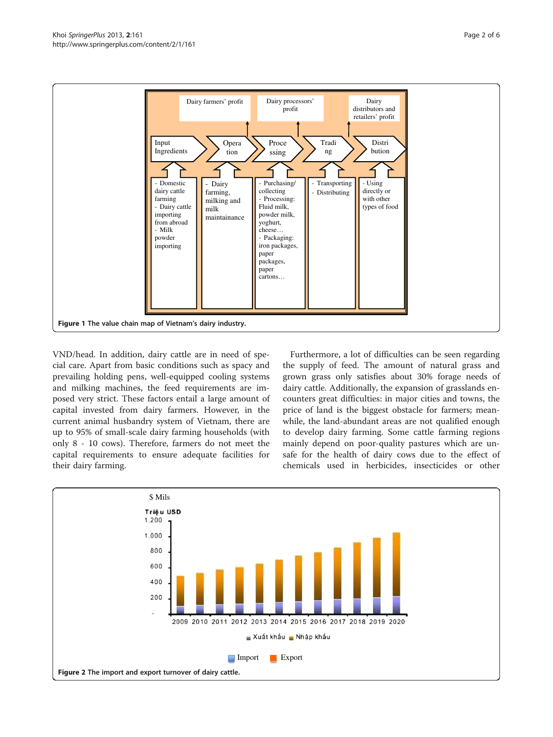<span id="page-1-0"></span>

VND/head. In addition, dairy cattle are in need of special care. Apart from basic conditions such as spacy and prevailing holding pens, well-equipped cooling systems and milking machines, the feed requirements are imposed very strict. These factors entail a large amount of capital invested from dairy farmers. However, in the current animal husbandry system of Vietnam, there are up to 95% of small-scale dairy farming households (with only 8 - 10 cows). Therefore, farmers do not meet the capital requirements to ensure adequate facilities for their dairy farming.

Furthermore, a lot of difficulties can be seen regarding the supply of feed. The amount of natural grass and grown grass only satisfies about 30% forage needs of dairy cattle. Additionally, the expansion of grasslands encounters great difficulties: in major cities and towns, the price of land is the biggest obstacle for farmers; meanwhile, the land-abundant areas are not qualified enough to develop dairy farming. Some cattle farming regions mainly depend on poor-quality pastures which are unsafe for the health of dairy cows due to the effect of chemicals used in herbicides, insecticides or other

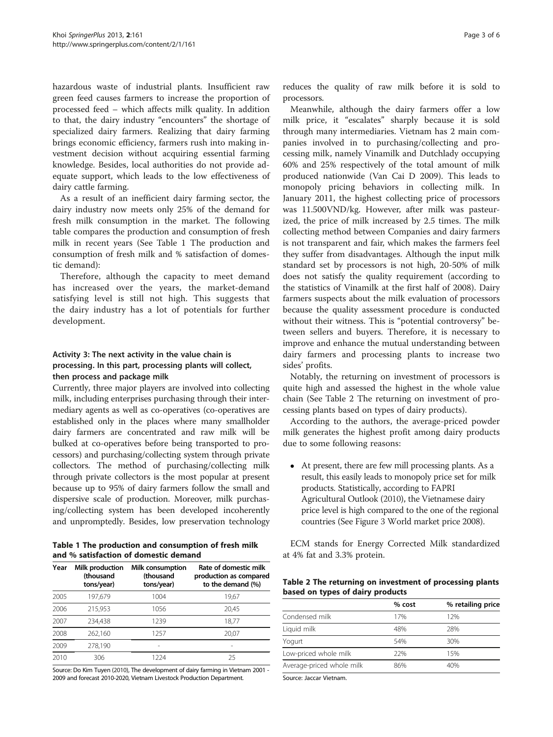hazardous waste of industrial plants. Insufficient raw green feed causes farmers to increase the proportion of processed feed – which affects milk quality. In addition to that, the dairy industry "encounters" the shortage of specialized dairy farmers. Realizing that dairy farming brings economic efficiency, farmers rush into making investment decision without acquiring essential farming knowledge. Besides, local authorities do not provide adequate support, which leads to the low effectiveness of dairy cattle farming.

As a result of an inefficient dairy farming sector, the dairy industry now meets only 25% of the demand for fresh milk consumption in the market. The following table compares the production and consumption of fresh milk in recent years (See Table 1 The production and consumption of fresh milk and % satisfaction of domestic demand):

Therefore, although the capacity to meet demand has increased over the years, the market-demand satisfying level is still not high. This suggests that the dairy industry has a lot of potentials for further development.

## Activity 3: The next activity in the value chain is processing. In this part, processing plants will collect, then process and package milk

Currently, three major players are involved into collecting milk, including enterprises purchasing through their intermediary agents as well as co-operatives (co-operatives are established only in the places where many smallholder dairy farmers are concentrated and raw milk will be bulked at co-operatives before being transported to processors) and purchasing/collecting system through private collectors. The method of purchasing/collecting milk through private collectors is the most popular at present because up to 95% of dairy farmers follow the small and dispersive scale of production. Moreover, milk purchasing/collecting system has been developed incoherently and unpromptedly. Besides, low preservation technology

Table 1 The production and consumption of fresh milk and % satisfaction of domestic demand

| Year | Milk production<br>(thousand<br>tons/year) | <b>Milk consumption</b><br>(thousand<br>tons/year) | Rate of domestic milk<br>production as compared<br>to the demand (%) |
|------|--------------------------------------------|----------------------------------------------------|----------------------------------------------------------------------|
| 2005 | 197.679                                    | 1004                                               | 19,67                                                                |
| 2006 | 215,953                                    | 1056                                               | 20.45                                                                |
| 2007 | 234.438                                    | 1239                                               | 18.77                                                                |
| 2008 | 262.160                                    | 1257                                               | 20.07                                                                |
| 2009 | 278,190                                    | -                                                  |                                                                      |
| 2010 | 306                                        | 1774                                               | つら                                                                   |

Source: Do Kim Tuyen ([2010](#page-5-0)), The development of dairy farming in Vietnam 2001 - 2009 and forecast 2010-2020, Vietnam Livestock Production Department.

reduces the quality of raw milk before it is sold to processors.

Meanwhile, although the dairy farmers offer a low milk price, it "escalates" sharply because it is sold through many intermediaries. Vietnam has 2 main companies involved in to purchasing/collecting and processing milk, namely Vinamilk and Dutchlady occupying 60% and 25% respectively of the total amount of milk produced nationwide (Van Cai D [2009](#page-5-0)). This leads to monopoly pricing behaviors in collecting milk. In January 2011, the highest collecting price of processors was 11.500VND/kg. However, after milk was pasteurized, the price of milk increased by 2.5 times. The milk collecting method between Companies and dairy farmers is not transparent and fair, which makes the farmers feel they suffer from disadvantages. Although the input milk standard set by processors is not high, 20-50% of milk does not satisfy the quality requirement (according to the statistics of Vinamilk at the first half of 2008). Dairy farmers suspects about the milk evaluation of processors because the quality assessment procedure is conducted without their witness. This is "potential controversy" between sellers and buyers. Therefore, it is necessary to improve and enhance the mutual understanding between dairy farmers and processing plants to increase two sides' profits.

Notably, the returning on investment of processors is quite high and assessed the highest in the whole value chain (See Table 2 The returning on investment of processing plants based on types of dairy products).

According to the authors, the average-priced powder milk generates the highest profit among dairy products due to some following reasons:

 At present, there are few mill processing plants. As a result, this easily leads to monopoly price set for milk products. Statistically, according to FAPRI Agricultural Outlook [\(2010\)](#page-5-0), the Vietnamese dairy price level is high compared to the one of the regional countries (See Figure [3](#page-3-0) World market price 2008).

ECM stands for Energy Corrected Milk standardized at 4% fat and 3.3% protein.

| Table 2 The returning on investment of processing plants |  |
|----------------------------------------------------------|--|
| based on types of dairy products                         |  |

|                           | % cost | % retailing price |
|---------------------------|--------|-------------------|
| Condensed milk            | 17%    | 12%               |
| Liquid milk               | 48%    | 28%               |
| Yogurt                    | 54%    | 30%               |
| Low-priced whole milk     | 22%    | 15%               |
| Average-priced whole milk | 86%    | 40%               |

Source: Jaccar Vietnam.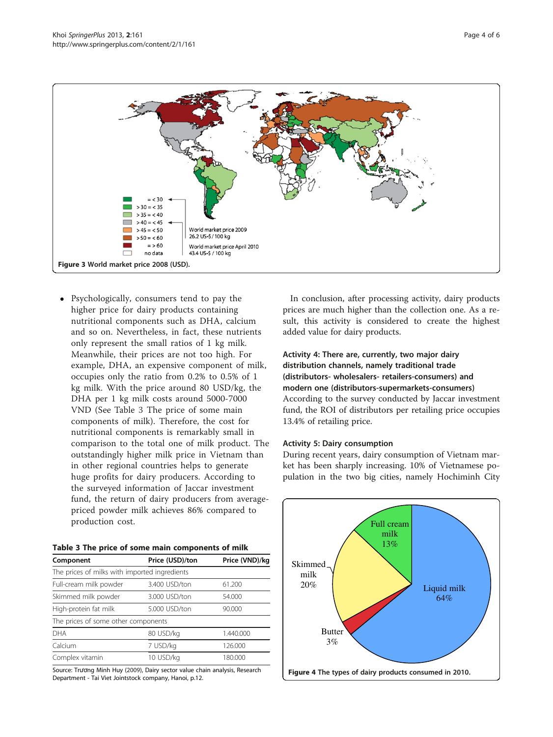<span id="page-3-0"></span>

 Psychologically, consumers tend to pay the higher price for dairy products containing nutritional components such as DHA, calcium and so on. Nevertheless, in fact, these nutrients only represent the small ratios of 1 kg milk. Meanwhile, their prices are not too high. For example, DHA, an expensive component of milk, occupies only the ratio from 0.2% to 0.5% of 1 kg milk. With the price around 80 USD/kg, the DHA per 1 kg milk costs around 5000-7000 VND (See Table 3 The price of some main components of milk). Therefore, the cost for nutritional components is remarkably small in comparison to the total one of milk product. The outstandingly higher milk price in Vietnam than in other regional countries helps to generate huge profits for dairy producers. According to the surveyed information of Jaccar investment fund, the return of dairy producers from averagepriced powder milk achieves 86% compared to production cost.

| Table 3 The price of some main components of milk |  |  |  |  |  |  |
|---------------------------------------------------|--|--|--|--|--|--|
|                                                   |  |  |  |  |  |  |

| Component                                     | Price (USD)/ton | Price (VND)/kg |  |  |  |  |  |
|-----------------------------------------------|-----------------|----------------|--|--|--|--|--|
| The prices of milks with imported ingredients |                 |                |  |  |  |  |  |
| Full-cream milk powder                        | 61.200          |                |  |  |  |  |  |
| Skimmed milk powder                           | 3.000 USD/ton   | 54.000         |  |  |  |  |  |
| High-protein fat milk                         | 5.000 USD/ton   | 90.000         |  |  |  |  |  |
| The prices of some other components           |                 |                |  |  |  |  |  |
| <b>DHA</b>                                    | 80 USD/kg       | 1,440,000      |  |  |  |  |  |
| Calcium                                       | 7 USD/ka        | 126.000        |  |  |  |  |  |
| Complex vitamin                               | 10 USD/kg       | 180,000        |  |  |  |  |  |
|                                               |                 |                |  |  |  |  |  |

Source: Trương Minh Huy ([2009\)](#page-5-0), Dairy sector value chain analysis, Research Department - Tai Viet Jointstock company, Hanoi, p.12.

In conclusion, after processing activity, dairy products prices are much higher than the collection one. As a result, this activity is considered to create the highest added value for dairy products.

Activity 4: There are, currently, two major dairy distribution channels, namely traditional trade (distributors- wholesalers- retailers-consumers) and modern one (distributors-supermarkets-consumers) According to the survey conducted by Jaccar investment fund, the ROI of distributors per retailing price occupies 13.4% of retailing price.

#### Activity 5: Dairy consumption

During recent years, dairy consumption of Vietnam market has been sharply increasing. 10% of Vietnamese population in the two big cities, namely Hochiminh City

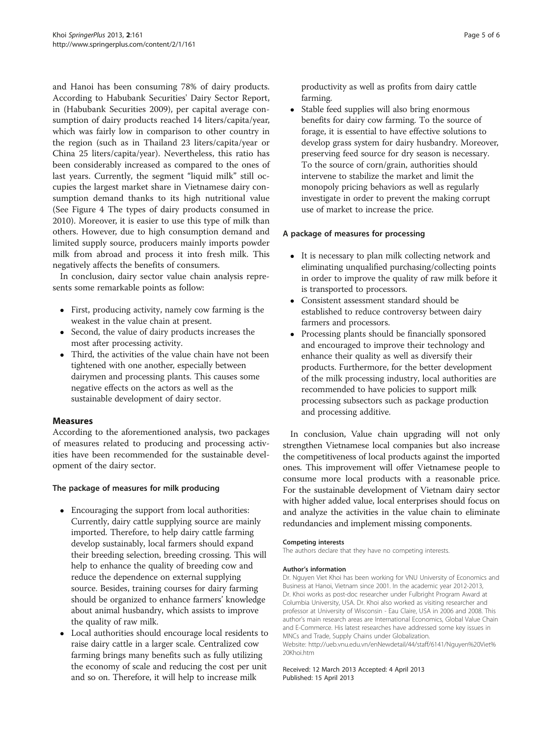and Hanoi has been consuming 78% of dairy products. According to Habubank Securities' Dairy Sector Report, in (Habubank Securities [2009\)](#page-5-0), per capital average consumption of dairy products reached 14 liters/capita/year, which was fairly low in comparison to other country in the region (such as in Thailand 23 liters/capita/year or China 25 liters/capita/year). Nevertheless, this ratio has been considerably increased as compared to the ones of last years. Currently, the segment "liquid milk" still occupies the largest market share in Vietnamese dairy consumption demand thanks to its high nutritional value (See Figure [4](#page-3-0) The types of dairy products consumed in 2010). Moreover, it is easier to use this type of milk than others. However, due to high consumption demand and limited supply source, producers mainly imports powder milk from abroad and process it into fresh milk. This negatively affects the benefits of consumers.

In conclusion, dairy sector value chain analysis represents some remarkable points as follow:

- First, producing activity, namely cow farming is the weakest in the value chain at present.
- Second, the value of dairy products increases the most after processing activity.
- Third, the activities of the value chain have not been tightened with one another, especially between dairymen and processing plants. This causes some negative effects on the actors as well as the sustainable development of dairy sector.

#### Measures

According to the aforementioned analysis, two packages of measures related to producing and processing activities have been recommended for the sustainable development of the dairy sector.

#### The package of measures for milk producing

- Encouraging the support from local authorities: Currently, dairy cattle supplying source are mainly imported. Therefore, to help dairy cattle farming develop sustainably, local farmers should expand their breeding selection, breeding crossing. This will help to enhance the quality of breeding cow and reduce the dependence on external supplying source. Besides, training courses for dairy farming should be organized to enhance farmers' knowledge about animal husbandry, which assists to improve the quality of raw milk.
- Local authorities should encourage local residents to raise dairy cattle in a larger scale. Centralized cow farming brings many benefits such as fully utilizing the economy of scale and reducing the cost per unit and so on. Therefore, it will help to increase milk

productivity as well as profits from dairy cattle farming.

• Stable feed supplies will also bring enormous benefits for dairy cow farming. To the source of forage, it is essential to have effective solutions to develop grass system for dairy husbandry. Moreover, preserving feed source for dry season is necessary. To the source of corn/grain, authorities should intervene to stabilize the market and limit the monopoly pricing behaviors as well as regularly investigate in order to prevent the making corrupt use of market to increase the price.

#### A package of measures for processing

- It is necessary to plan milk collecting network and eliminating unqualified purchasing/collecting points in order to improve the quality of raw milk before it is transported to processors.
- Consistent assessment standard should be established to reduce controversy between dairy farmers and processors.
- Processing plants should be financially sponsored and encouraged to improve their technology and enhance their quality as well as diversify their products. Furthermore, for the better development of the milk processing industry, local authorities are recommended to have policies to support milk processing subsectors such as package production and processing additive.

In conclusion, Value chain upgrading will not only strengthen Vietnamese local companies but also increase the competitiveness of local products against the imported ones. This improvement will offer Vietnamese people to consume more local products with a reasonable price. For the sustainable development of Vietnam dairy sector with higher added value, local enterprises should focus on and analyze the activities in the value chain to eliminate redundancies and implement missing components.

#### Competing interests

The authors declare that they have no competing interests.

#### Author's information

Dr. Nguyen Viet Khoi has been working for VNU University of Economics and Business at Hanoi, Vietnam since 2001. In the academic year 2012-2013, Dr. Khoi works as post-doc researcher under Fulbright Program Award at Columbia University, USA. Dr. Khoi also worked as visiting researcher and professor at University of Wisconsin - Eau Claire, USA in 2006 and 2008. This author's main research areas are International Economics, Global Value Chain and E-Commerce. His latest researches have addressed some key issues in MNCs and Trade, Supply Chains under Globalization. Website: [http://ueb.vnu.edu.vn/enNewdetail/44/staff/6141/Nguyen%20Viet%](http://ueb.vnu.edu.vn/enNewdetail/44/staff/6141/Nguyen%20Viet%20Khoi.htm) [20Khoi.htm](http://ueb.vnu.edu.vn/enNewdetail/44/staff/6141/Nguyen%20Viet%20Khoi.htm)

#### Received: 12 March 2013 Accepted: 4 April 2013 Published: 15 April 2013